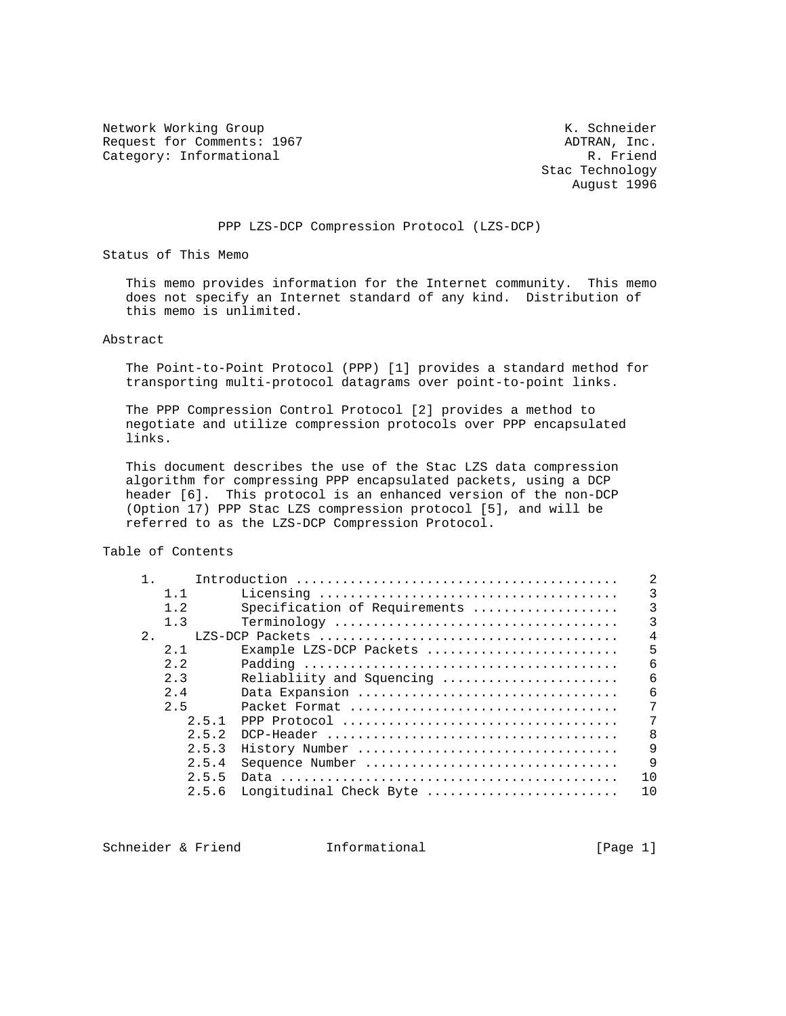Network Working Group Network Working Group Request for Comments: 1967 <br>Category: Informational R. Friend Category: Informational

 Stac Technology August 1996

## PPP LZS-DCP Compression Protocol (LZS-DCP)

Status of This Memo

 This memo provides information for the Internet community. This memo does not specify an Internet standard of any kind. Distribution of this memo is unlimited.

Abstract

 The Point-to-Point Protocol (PPP) [1] provides a standard method for transporting multi-protocol datagrams over point-to-point links.

 The PPP Compression Control Protocol [2] provides a method to negotiate and utilize compression protocols over PPP encapsulated links.

 This document describes the use of the Stac LZS data compression algorithm for compressing PPP encapsulated packets, using a DCP header [6]. This protocol is an enhanced version of the non-DCP (Option 17) PPP Stac LZS compression protocol [5], and will be referred to as the LZS-DCP Compression Protocol.

Table of Contents

|    |             |                               | $\overline{2}$ |
|----|-------------|-------------------------------|----------------|
|    | $1 \quad 1$ |                               | 3              |
|    | 1.2         | Specification of Requirements | $\overline{3}$ |
|    | 1.3         |                               | 3              |
| 2. |             |                               | $\overline{4}$ |
|    | 2.1         | Example LZS-DCP Packets       | 5              |
|    | 2.2         |                               | 6              |
|    | 2.3         | Reliabliity and Squencing     | 6              |
|    | 2.4         | Data Expansion                | 6              |
|    | 2.5         |                               | 7              |
|    | 2.5.1       |                               | 7              |
|    | 2.5.2       |                               | 8              |
|    | 2.5.3       | History Number                | 9              |
|    | 2.5.4       | Sequence Number               | $\mathsf{Q}$   |
|    | 2.5.5       |                               | 10             |
|    | 2.5.6       | Longitudinal Check Byte       | 10             |

Schneider & Friend Thformational (Page 1)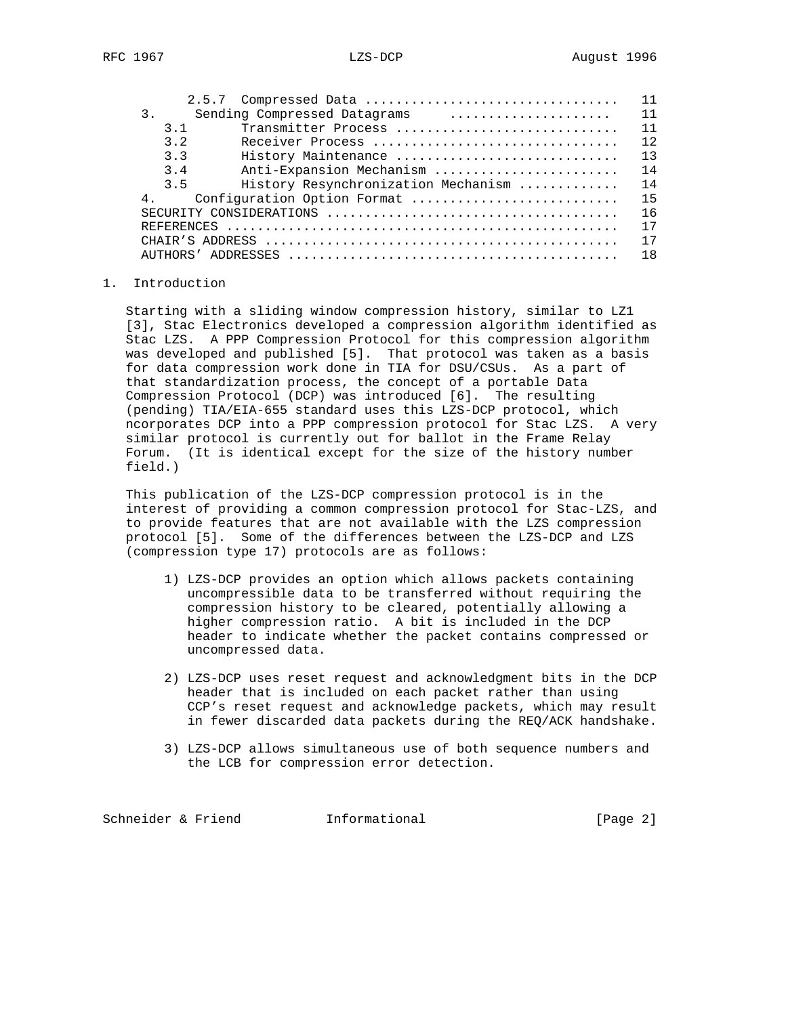|    |                |                                     |  |  |  |  |  | 11  |
|----|----------------|-------------------------------------|--|--|--|--|--|-----|
| 3. |                | Sending Compressed Datagrams        |  |  |  |  |  | 11  |
|    | 3 1            | Transmitter Process                 |  |  |  |  |  | 11  |
|    | 32             | Receiver Process                    |  |  |  |  |  | 12. |
|    | 3.3            | History Maintenance                 |  |  |  |  |  | 13  |
|    | $3\quad 4$     | Anti-Expansion Mechanism            |  |  |  |  |  | 14  |
|    | 3.5            | History Resynchronization Mechanism |  |  |  |  |  | 14  |
|    | 4 <sub>1</sub> | Configuration Option Format         |  |  |  |  |  | 15  |
|    |                |                                     |  |  |  |  |  | 16  |
|    |                |                                     |  |  |  |  |  | 17  |
|    |                |                                     |  |  |  |  |  | 17  |
|    |                |                                     |  |  |  |  |  | 1 R |

## 1. Introduction

 Starting with a sliding window compression history, similar to LZ1 [3], Stac Electronics developed a compression algorithm identified as Stac LZS. A PPP Compression Protocol for this compression algorithm was developed and published [5]. That protocol was taken as a basis for data compression work done in TIA for DSU/CSUs. As a part of that standardization process, the concept of a portable Data Compression Protocol (DCP) was introduced [6]. The resulting (pending) TIA/EIA-655 standard uses this LZS-DCP protocol, which ncorporates DCP into a PPP compression protocol for Stac LZS. A very similar protocol is currently out for ballot in the Frame Relay Forum. (It is identical except for the size of the history number field.)

 This publication of the LZS-DCP compression protocol is in the interest of providing a common compression protocol for Stac-LZS, and to provide features that are not available with the LZS compression protocol [5]. Some of the differences between the LZS-DCP and LZS (compression type 17) protocols are as follows:

- 1) LZS-DCP provides an option which allows packets containing uncompressible data to be transferred without requiring the compression history to be cleared, potentially allowing a higher compression ratio. A bit is included in the DCP header to indicate whether the packet contains compressed or uncompressed data.
- 2) LZS-DCP uses reset request and acknowledgment bits in the DCP header that is included on each packet rather than using CCP's reset request and acknowledge packets, which may result in fewer discarded data packets during the REQ/ACK handshake.
- 3) LZS-DCP allows simultaneous use of both sequence numbers and the LCB for compression error detection.

Schneider & Friend Tnformational (Page 2)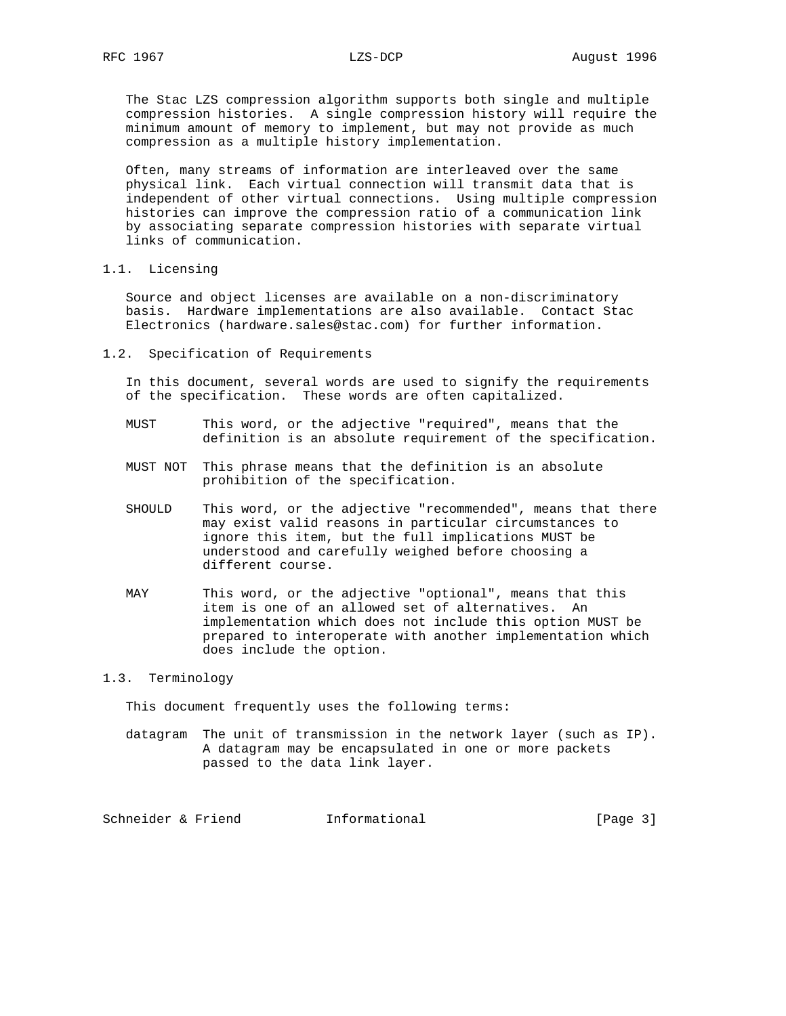The Stac LZS compression algorithm supports both single and multiple compression histories. A single compression history will require the minimum amount of memory to implement, but may not provide as much compression as a multiple history implementation.

 Often, many streams of information are interleaved over the same physical link. Each virtual connection will transmit data that is independent of other virtual connections. Using multiple compression histories can improve the compression ratio of a communication link by associating separate compression histories with separate virtual links of communication.

1.1. Licensing

 Source and object licenses are available on a non-discriminatory basis. Hardware implementations are also available. Contact Stac Electronics (hardware.sales@stac.com) for further information.

1.2. Specification of Requirements

 In this document, several words are used to signify the requirements of the specification. These words are often capitalized.

- MUST This word, or the adjective "required", means that the definition is an absolute requirement of the specification.
- MUST NOT This phrase means that the definition is an absolute prohibition of the specification.
- SHOULD This word, or the adjective "recommended", means that there may exist valid reasons in particular circumstances to ignore this item, but the full implications MUST be understood and carefully weighed before choosing a different course.
- MAY This word, or the adjective "optional", means that this item is one of an allowed set of alternatives. An implementation which does not include this option MUST be prepared to interoperate with another implementation which does include the option.

### 1.3. Terminology

This document frequently uses the following terms:

 datagram The unit of transmission in the network layer (such as IP). A datagram may be encapsulated in one or more packets passed to the data link layer.

Schneider & Friend Theormational (Page 3)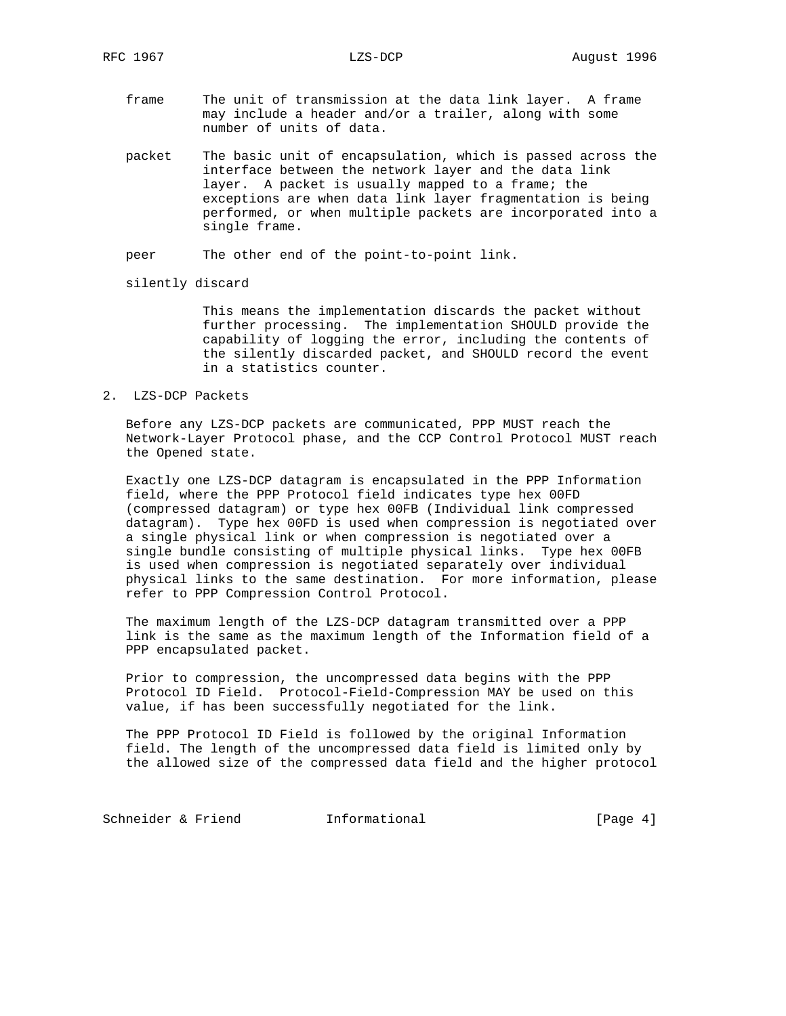- frame The unit of transmission at the data link layer. A frame may include a header and/or a trailer, along with some number of units of data.
- packet The basic unit of encapsulation, which is passed across the interface between the network layer and the data link layer. A packet is usually mapped to a frame; the exceptions are when data link layer fragmentation is being performed, or when multiple packets are incorporated into a single frame.

peer The other end of the point-to-point link.

silently discard

 This means the implementation discards the packet without further processing. The implementation SHOULD provide the capability of logging the error, including the contents of the silently discarded packet, and SHOULD record the event in a statistics counter.

2. LZS-DCP Packets

 Before any LZS-DCP packets are communicated, PPP MUST reach the Network-Layer Protocol phase, and the CCP Control Protocol MUST reach the Opened state.

 Exactly one LZS-DCP datagram is encapsulated in the PPP Information field, where the PPP Protocol field indicates type hex 00FD (compressed datagram) or type hex 00FB (Individual link compressed datagram). Type hex 00FD is used when compression is negotiated over a single physical link or when compression is negotiated over a single bundle consisting of multiple physical links. Type hex 00FB is used when compression is negotiated separately over individual physical links to the same destination. For more information, please refer to PPP Compression Control Protocol.

 The maximum length of the LZS-DCP datagram transmitted over a PPP link is the same as the maximum length of the Information field of a PPP encapsulated packet.

 Prior to compression, the uncompressed data begins with the PPP Protocol ID Field. Protocol-Field-Compression MAY be used on this value, if has been successfully negotiated for the link.

 The PPP Protocol ID Field is followed by the original Information field. The length of the uncompressed data field is limited only by the allowed size of the compressed data field and the higher protocol

Schneider & Friend **Informational** [Page 4]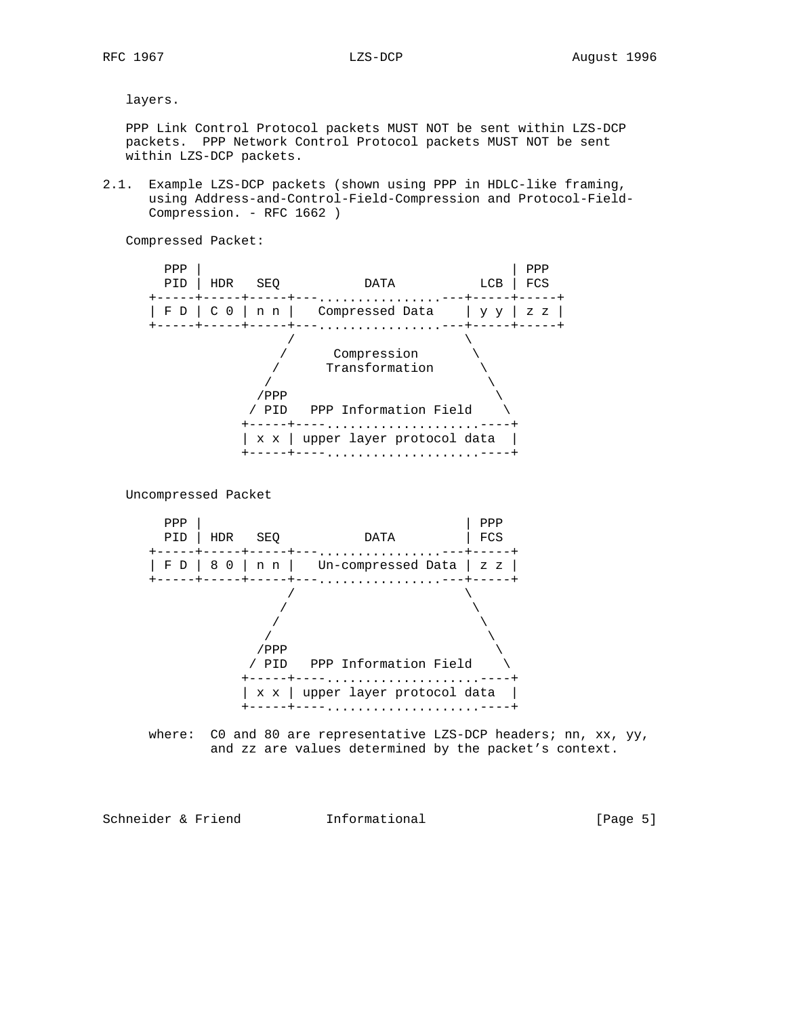layers.

 PPP Link Control Protocol packets MUST NOT be sent within LZS-DCP packets. PPP Network Control Protocol packets MUST NOT be sent within LZS-DCP packets.

2.1. Example LZS-DCP packets (shown using PPP in HDLC-like framing, using Address-and-Control-Field-Compression and Protocol-Field- Compression. - RFC 1662 )

Compressed Packet:



Uncompressed Packet



where: CO and 80 are representative LZS-DCP headers; nn, xx,  $yy$ , and zz are values determined by the packet's context.

Schneider & Friend Theormational (Page 5)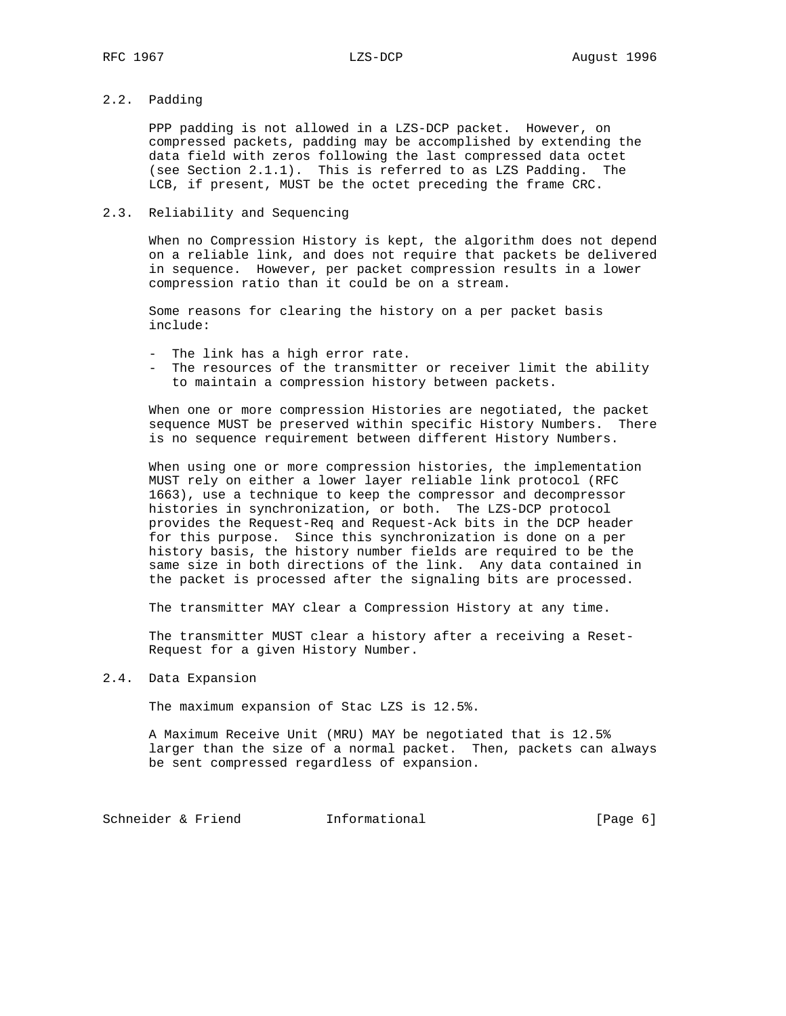# 2.2. Padding

 PPP padding is not allowed in a LZS-DCP packet. However, on compressed packets, padding may be accomplished by extending the data field with zeros following the last compressed data octet (see Section 2.1.1). This is referred to as LZS Padding. The LCB, if present, MUST be the octet preceding the frame CRC.

## 2.3. Reliability and Sequencing

 When no Compression History is kept, the algorithm does not depend on a reliable link, and does not require that packets be delivered in sequence. However, per packet compression results in a lower compression ratio than it could be on a stream.

 Some reasons for clearing the history on a per packet basis include:

- The link has a high error rate.
- The resources of the transmitter or receiver limit the ability to maintain a compression history between packets.

 When one or more compression Histories are negotiated, the packet sequence MUST be preserved within specific History Numbers. There is no sequence requirement between different History Numbers.

 When using one or more compression histories, the implementation MUST rely on either a lower layer reliable link protocol (RFC 1663), use a technique to keep the compressor and decompressor histories in synchronization, or both. The LZS-DCP protocol provides the Request-Req and Request-Ack bits in the DCP header for this purpose. Since this synchronization is done on a per history basis, the history number fields are required to be the same size in both directions of the link. Any data contained in the packet is processed after the signaling bits are processed.

The transmitter MAY clear a Compression History at any time.

 The transmitter MUST clear a history after a receiving a Reset- Request for a given History Number.

### 2.4. Data Expansion

The maximum expansion of Stac LZS is 12.5%.

 A Maximum Receive Unit (MRU) MAY be negotiated that is 12.5% larger than the size of a normal packet. Then, packets can always be sent compressed regardless of expansion.

Schneider & Friend Tnformational (Page 6)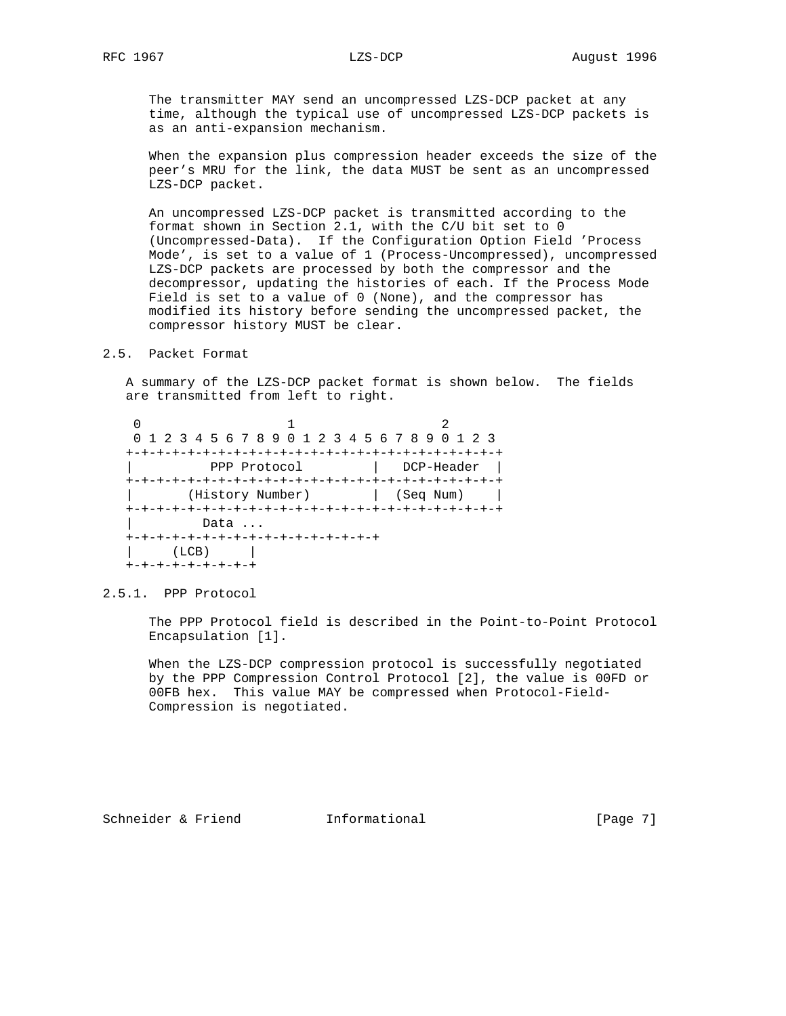The transmitter MAY send an uncompressed LZS-DCP packet at any time, although the typical use of uncompressed LZS-DCP packets is as an anti-expansion mechanism.

 When the expansion plus compression header exceeds the size of the peer's MRU for the link, the data MUST be sent as an uncompressed LZS-DCP packet.

 An uncompressed LZS-DCP packet is transmitted according to the format shown in Section 2.1, with the C/U bit set to 0 (Uncompressed-Data). If the Configuration Option Field 'Process Mode', is set to a value of 1 (Process-Uncompressed), uncompressed LZS-DCP packets are processed by both the compressor and the decompressor, updating the histories of each. If the Process Mode Field is set to a value of 0 (None), and the compressor has modified its history before sending the uncompressed packet, the compressor history MUST be clear.

# 2.5. Packet Format

 A summary of the LZS-DCP packet format is shown below. The fields are transmitted from left to right.

 $0$  and  $1$  and  $2$  0 1 2 3 4 5 6 7 8 9 0 1 2 3 4 5 6 7 8 9 0 1 2 3 +-+-+-+-+-+-+-+-+-+-+-+-+-+-+-+-+-+-+-+-+-+-+-+-+ | PPP Protocol | DCP-Header | +-+-+-+-+-+-+-+-+-+-+-+-+-+-+-+-+-+-+-+-+-+-+-+-+ | (History Number) | (Seq Num) | +-+-+-+-+-+-+-+-+-+-+-+-+-+-+-+-+-+-+-+-+-+-+-+-+ Data ... +-+-+-+-+-+-+-+-+-+-+-+-+-+-+-+-+  $(LCB)$  | +-+-+-+-+-+-+-+-+

2.5.1. PPP Protocol

 The PPP Protocol field is described in the Point-to-Point Protocol Encapsulation [1].

 When the LZS-DCP compression protocol is successfully negotiated by the PPP Compression Control Protocol [2], the value is 00FD or 00FB hex. This value MAY be compressed when Protocol-Field- Compression is negotiated.

Schneider & Friend Tnformational (Page 7)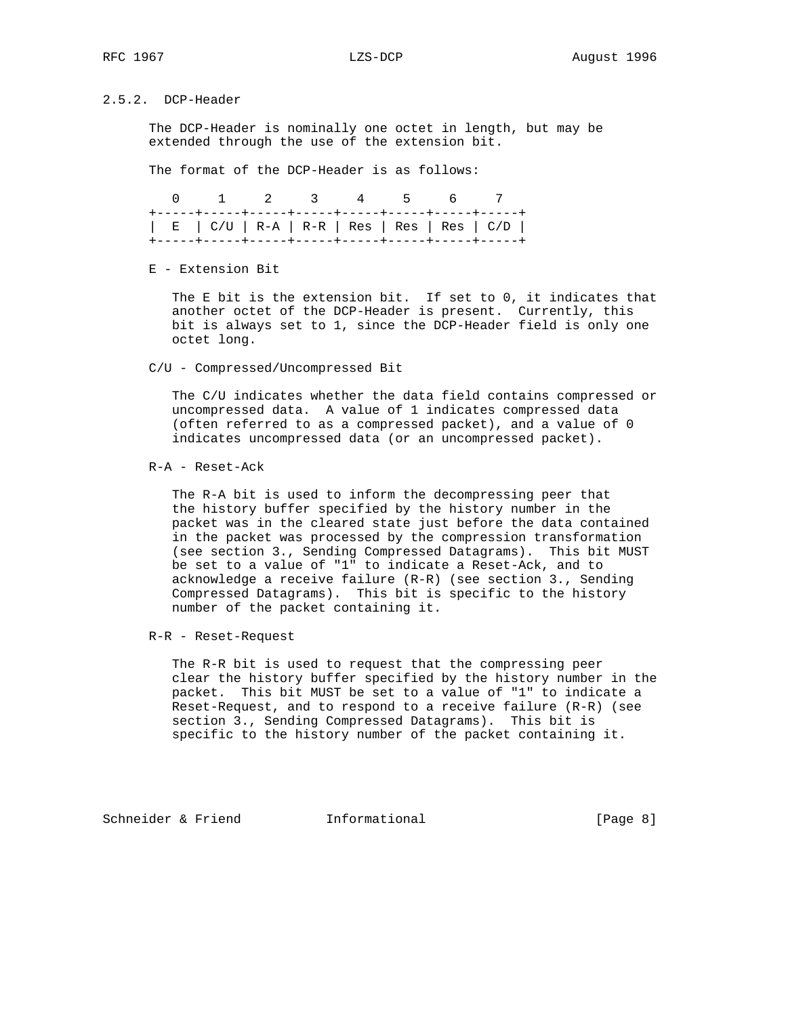# 2.5.2. DCP-Header

 The DCP-Header is nominally one octet in length, but may be extended through the use of the extension bit.

The format of the DCP-Header is as follows:

| 0 1 2 3 4 5 6 7 |  |  |                                                                                                       |
|-----------------|--|--|-------------------------------------------------------------------------------------------------------|
|                 |  |  | $\vert$ E $\vert$ C/U $\vert$ R-A $\vert$ R-R $\vert$ Res $\vert$ Res $\vert$ Res $\vert$ C/D $\vert$ |

E - Extension Bit

 The E bit is the extension bit. If set to 0, it indicates that another octet of the DCP-Header is present. Currently, this bit is always set to 1, since the DCP-Header field is only one octet long.

C/U - Compressed/Uncompressed Bit

 The C/U indicates whether the data field contains compressed or uncompressed data. A value of 1 indicates compressed data (often referred to as a compressed packet), and a value of 0 indicates uncompressed data (or an uncompressed packet).

R-A - Reset-Ack

 The R-A bit is used to inform the decompressing peer that the history buffer specified by the history number in the packet was in the cleared state just before the data contained in the packet was processed by the compression transformation (see section 3., Sending Compressed Datagrams). This bit MUST be set to a value of "1" to indicate a Reset-Ack, and to acknowledge a receive failure (R-R) (see section 3., Sending Compressed Datagrams). This bit is specific to the history number of the packet containing it.

R-R - Reset-Request

 The R-R bit is used to request that the compressing peer clear the history buffer specified by the history number in the packet. This bit MUST be set to a value of "1" to indicate a Reset-Request, and to respond to a receive failure (R-R) (see section 3., Sending Compressed Datagrams). This bit is specific to the history number of the packet containing it.

Schneider & Friend Thformational (Page 8)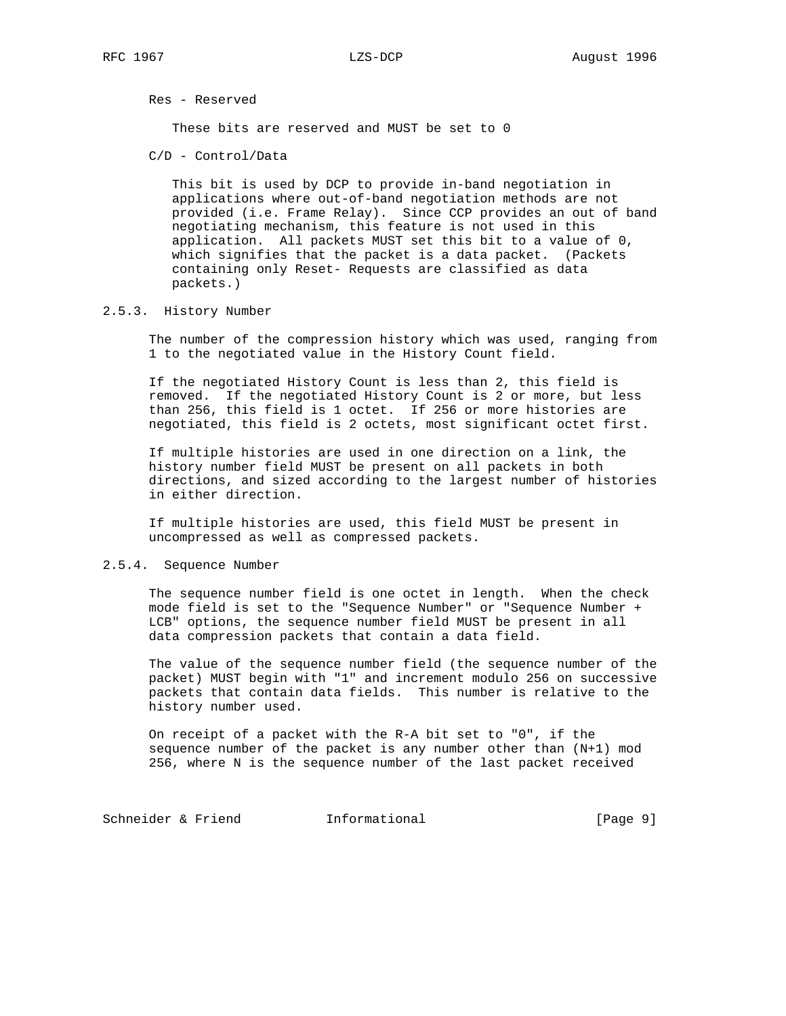Res - Reserved

These bits are reserved and MUST be set to 0

C/D - Control/Data

 This bit is used by DCP to provide in-band negotiation in applications where out-of-band negotiation methods are not provided (i.e. Frame Relay). Since CCP provides an out of band negotiating mechanism, this feature is not used in this application. All packets MUST set this bit to a value of 0, which signifies that the packet is a data packet. (Packets containing only Reset- Requests are classified as data packets.)

### 2.5.3. History Number

 The number of the compression history which was used, ranging from 1 to the negotiated value in the History Count field.

 If the negotiated History Count is less than 2, this field is removed. If the negotiated History Count is 2 or more, but less than 256, this field is 1 octet. If 256 or more histories are negotiated, this field is 2 octets, most significant octet first.

 If multiple histories are used in one direction on a link, the history number field MUST be present on all packets in both directions, and sized according to the largest number of histories in either direction.

 If multiple histories are used, this field MUST be present in uncompressed as well as compressed packets.

### 2.5.4. Sequence Number

 The sequence number field is one octet in length. When the check mode field is set to the "Sequence Number" or "Sequence Number + LCB" options, the sequence number field MUST be present in all data compression packets that contain a data field.

 The value of the sequence number field (the sequence number of the packet) MUST begin with "1" and increment modulo 256 on successive packets that contain data fields. This number is relative to the history number used.

 On receipt of a packet with the R-A bit set to "0", if the sequence number of the packet is any number other than (N+1) mod 256, where N is the sequence number of the last packet received

Schneider & Friend Tnformational (Page 9)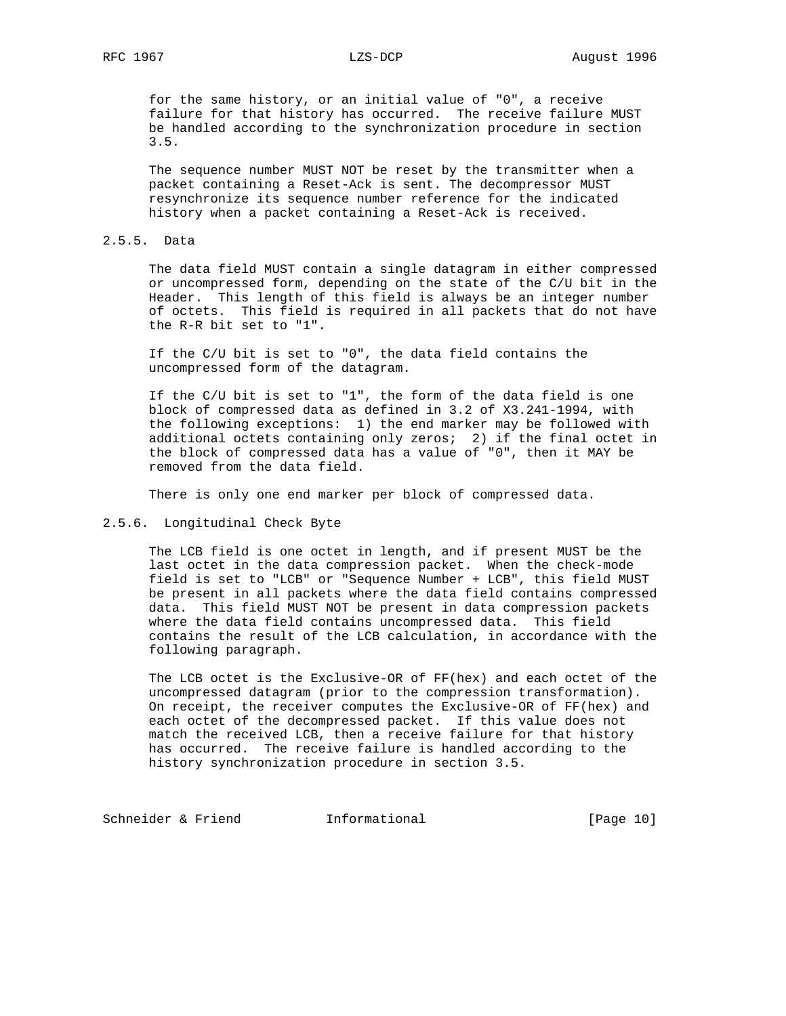for the same history, or an initial value of "0", a receive failure for that history has occurred. The receive failure MUST be handled according to the synchronization procedure in section 3.5.

 The sequence number MUST NOT be reset by the transmitter when a packet containing a Reset-Ack is sent. The decompressor MUST resynchronize its sequence number reference for the indicated history when a packet containing a Reset-Ack is received.

### 2.5.5. Data

 The data field MUST contain a single datagram in either compressed or uncompressed form, depending on the state of the C/U bit in the Header. This length of this field is always be an integer number of octets. This field is required in all packets that do not have the R-R bit set to "1".

 If the C/U bit is set to "0", the data field contains the uncompressed form of the datagram.

 If the C/U bit is set to "1", the form of the data field is one block of compressed data as defined in 3.2 of X3.241-1994, with the following exceptions: 1) the end marker may be followed with additional octets containing only zeros; 2) if the final octet in the block of compressed data has a value of "0", then it MAY be removed from the data field.

There is only one end marker per block of compressed data.

## 2.5.6. Longitudinal Check Byte

 The LCB field is one octet in length, and if present MUST be the last octet in the data compression packet. When the check-mode field is set to "LCB" or "Sequence Number + LCB", this field MUST be present in all packets where the data field contains compressed data. This field MUST NOT be present in data compression packets where the data field contains uncompressed data. This field contains the result of the LCB calculation, in accordance with the following paragraph.

 The LCB octet is the Exclusive-OR of FF(hex) and each octet of the uncompressed datagram (prior to the compression transformation). On receipt, the receiver computes the Exclusive-OR of FF(hex) and each octet of the decompressed packet. If this value does not match the received LCB, then a receive failure for that history has occurred. The receive failure is handled according to the history synchronization procedure in section 3.5.

Schneider & Friend Informational [Page 10]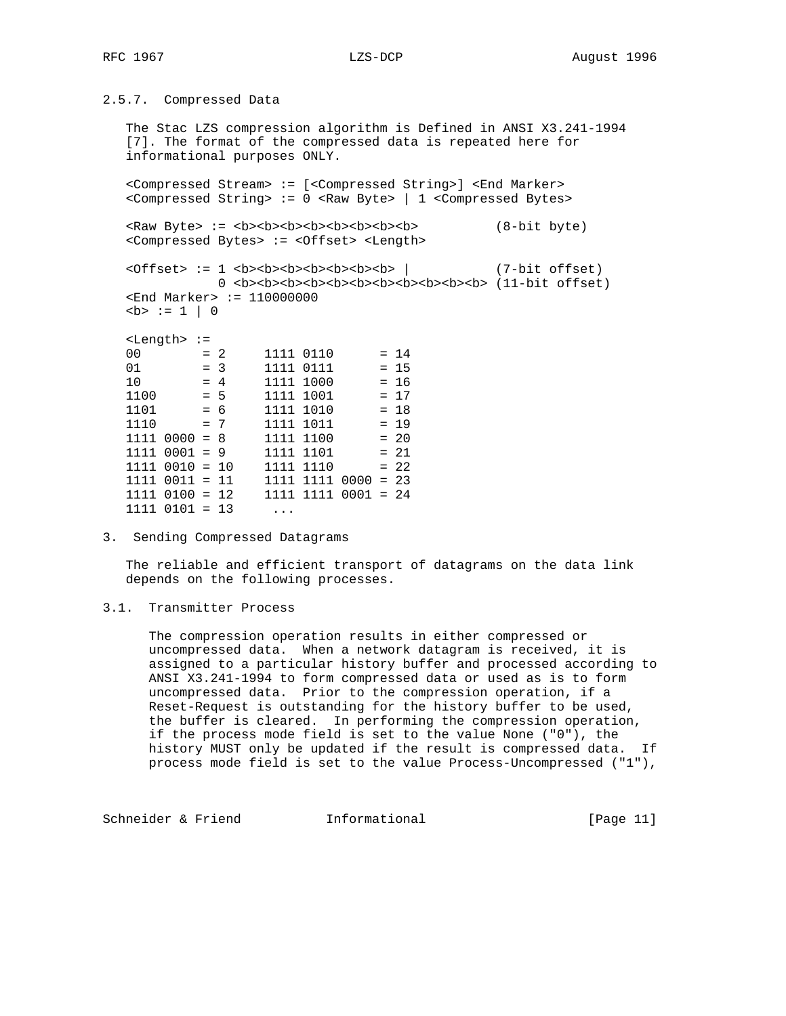2.5.7. Compressed Data

 The Stac LZS compression algorithm is Defined in ANSI X3.241-1994 [7]. The format of the compressed data is repeated here for informational purposes ONLY.

 <Compressed Stream> := [<Compressed String>] <End Marker> <Compressed String> := 0 <Raw Byte> | 1 <Compressed Bytes>

 <Raw Byte> := <b><b><b><b><b><b><b><b> (8-bit byte) <Compressed Bytes> := <Offset> <Length>

 <Offset> := 1 <b><b><b><b><b><b><b> | (7-bit offset) 0 <b><b><b><b><b><b><b><b><b><b><b> (11-bit offset) <End Marker> := 110000000  $$ 

<Length> :=

| 00   |                    |       | $= 2$ | 1111 0110                 |  | $= 14$ |
|------|--------------------|-------|-------|---------------------------|--|--------|
| 01   |                    | $= 3$ |       | 1111 0111                 |  | $= 15$ |
| 10   |                    | $= 4$ |       | 1111 1000                 |  | $= 16$ |
| 1100 |                    | $= 5$ |       | 1111 1001                 |  | $= 17$ |
| 1101 |                    | $= 6$ |       | 1111 1010                 |  | $= 18$ |
| 1110 |                    | $= 7$ |       | 1111 1011                 |  | $= 19$ |
|      | $1111 0000 = 8$    |       |       | 1111 1100                 |  | $= 20$ |
|      | $1111 0001 = 9$    |       |       | 1111 1101                 |  | $= 21$ |
|      | $1111 0010 = 10$   |       |       | 1111 1110                 |  | $= 22$ |
|      | $1111 0011 = 11$   |       |       | $1111$ $1111$ $0000 = 23$ |  |        |
|      | $1111$ $0100 = 12$ |       |       | $1111$ $1111$ $0001$ = 24 |  |        |
|      | $1111$ $0101 = 13$ |       |       |                           |  |        |

3. Sending Compressed Datagrams

 The reliable and efficient transport of datagrams on the data link depends on the following processes.

# 3.1. Transmitter Process

 The compression operation results in either compressed or uncompressed data. When a network datagram is received, it is assigned to a particular history buffer and processed according to ANSI X3.241-1994 to form compressed data or used as is to form uncompressed data. Prior to the compression operation, if a Reset-Request is outstanding for the history buffer to be used, the buffer is cleared. In performing the compression operation, if the process mode field is set to the value None ("0"), the history MUST only be updated if the result is compressed data. If process mode field is set to the value Process-Uncompressed ("1"),

Schneider & Friend Informational [Page 11]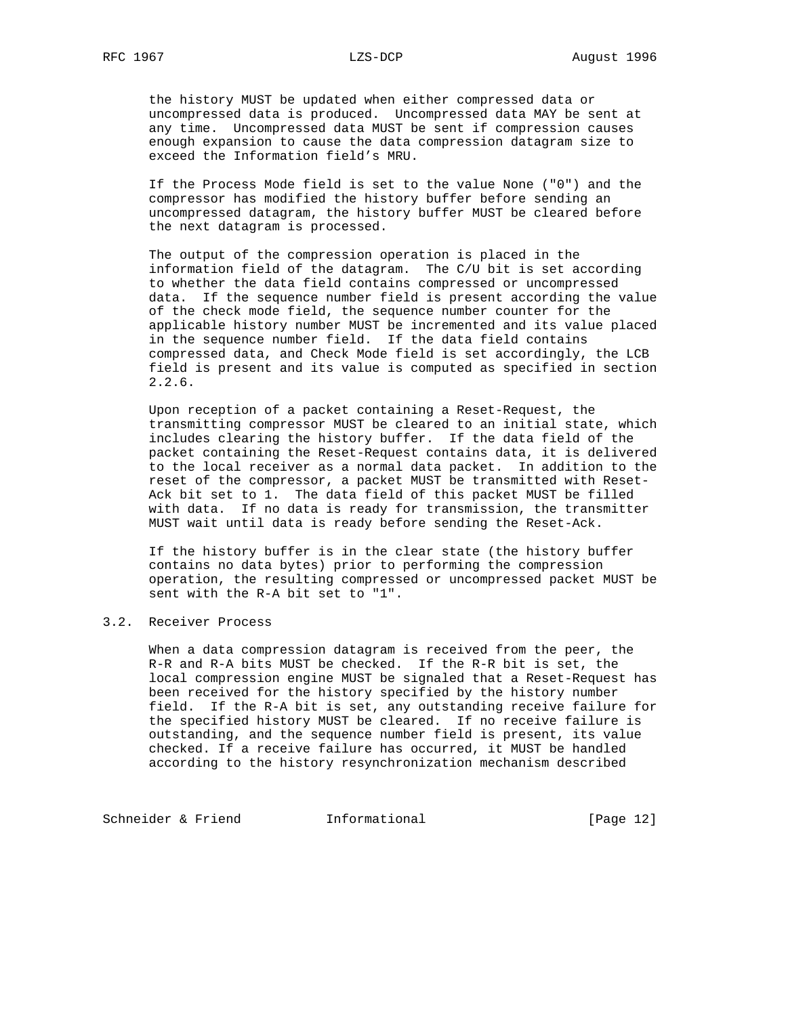the history MUST be updated when either compressed data or uncompressed data is produced. Uncompressed data MAY be sent at any time. Uncompressed data MUST be sent if compression causes enough expansion to cause the data compression datagram size to exceed the Information field's MRU.

 If the Process Mode field is set to the value None ("0") and the compressor has modified the history buffer before sending an uncompressed datagram, the history buffer MUST be cleared before the next datagram is processed.

 The output of the compression operation is placed in the information field of the datagram. The C/U bit is set according to whether the data field contains compressed or uncompressed data. If the sequence number field is present according the value of the check mode field, the sequence number counter for the applicable history number MUST be incremented and its value placed in the sequence number field. If the data field contains compressed data, and Check Mode field is set accordingly, the LCB field is present and its value is computed as specified in section 2.2.6.

 Upon reception of a packet containing a Reset-Request, the transmitting compressor MUST be cleared to an initial state, which includes clearing the history buffer. If the data field of the packet containing the Reset-Request contains data, it is delivered to the local receiver as a normal data packet. In addition to the reset of the compressor, a packet MUST be transmitted with Reset- Ack bit set to 1. The data field of this packet MUST be filled with data. If no data is ready for transmission, the transmitter MUST wait until data is ready before sending the Reset-Ack.

 If the history buffer is in the clear state (the history buffer contains no data bytes) prior to performing the compression operation, the resulting compressed or uncompressed packet MUST be sent with the R-A bit set to "1".

# 3.2. Receiver Process

 When a data compression datagram is received from the peer, the R-R and R-A bits MUST be checked. If the R-R bit is set, the local compression engine MUST be signaled that a Reset-Request has been received for the history specified by the history number field. If the R-A bit is set, any outstanding receive failure for the specified history MUST be cleared. If no receive failure is outstanding, and the sequence number field is present, its value checked. If a receive failure has occurred, it MUST be handled according to the history resynchronization mechanism described

Schneider & Friend Informational [Page 12]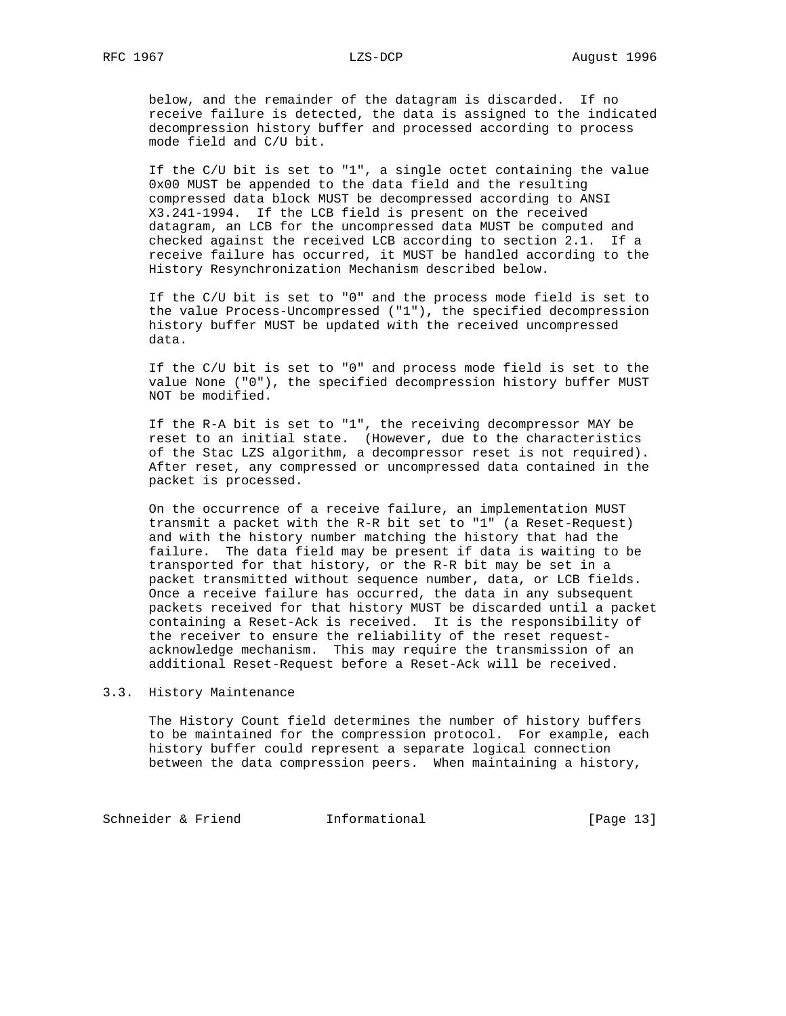below, and the remainder of the datagram is discarded. If no receive failure is detected, the data is assigned to the indicated decompression history buffer and processed according to process mode field and C/U bit.

 If the C/U bit is set to "1", a single octet containing the value 0x00 MUST be appended to the data field and the resulting compressed data block MUST be decompressed according to ANSI X3.241-1994. If the LCB field is present on the received datagram, an LCB for the uncompressed data MUST be computed and checked against the received LCB according to section 2.1. If a receive failure has occurred, it MUST be handled according to the History Resynchronization Mechanism described below.

 If the C/U bit is set to "0" and the process mode field is set to the value Process-Uncompressed ("1"), the specified decompression history buffer MUST be updated with the received uncompressed data.

 If the C/U bit is set to "0" and process mode field is set to the value None ("0"), the specified decompression history buffer MUST NOT be modified.

 If the R-A bit is set to "1", the receiving decompressor MAY be reset to an initial state. (However, due to the characteristics of the Stac LZS algorithm, a decompressor reset is not required). After reset, any compressed or uncompressed data contained in the packet is processed.

 On the occurrence of a receive failure, an implementation MUST transmit a packet with the R-R bit set to "1" (a Reset-Request) and with the history number matching the history that had the failure. The data field may be present if data is waiting to be transported for that history, or the R-R bit may be set in a packet transmitted without sequence number, data, or LCB fields. Once a receive failure has occurred, the data in any subsequent packets received for that history MUST be discarded until a packet containing a Reset-Ack is received. It is the responsibility of the receiver to ensure the reliability of the reset request acknowledge mechanism. This may require the transmission of an additional Reset-Request before a Reset-Ack will be received.

## 3.3. History Maintenance

 The History Count field determines the number of history buffers to be maintained for the compression protocol. For example, each history buffer could represent a separate logical connection between the data compression peers. When maintaining a history,

Schneider & Friend 1nformational 1000 [Page 13]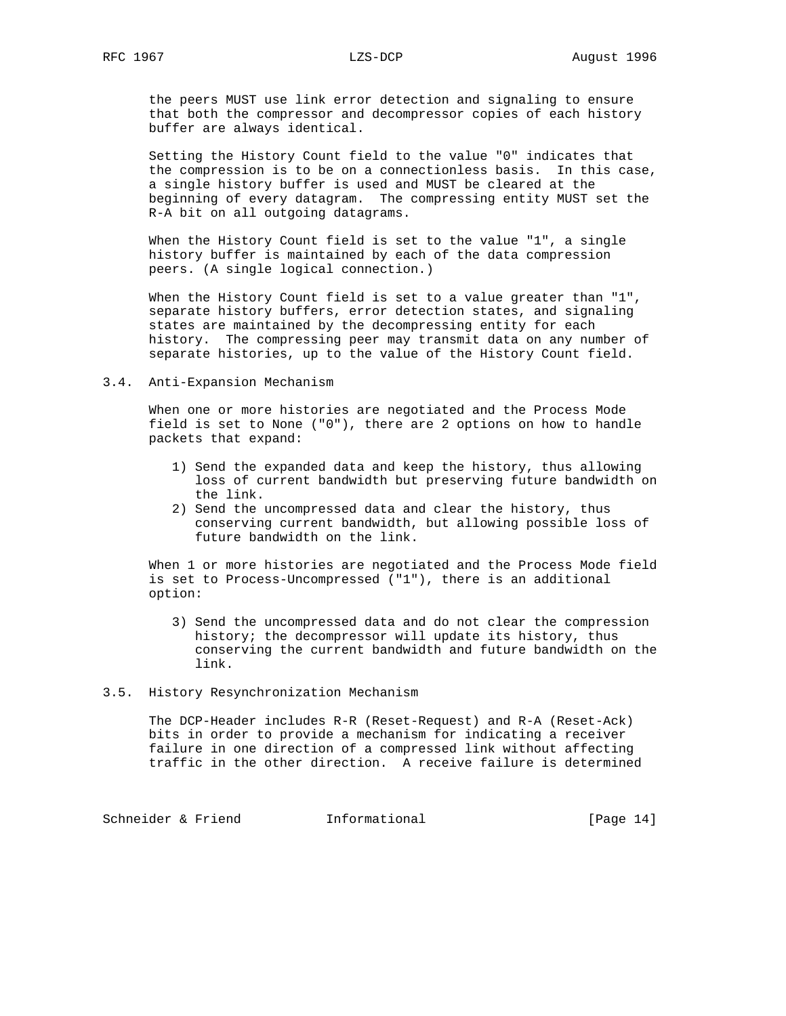the peers MUST use link error detection and signaling to ensure that both the compressor and decompressor copies of each history buffer are always identical.

 Setting the History Count field to the value "0" indicates that the compression is to be on a connectionless basis. In this case, a single history buffer is used and MUST be cleared at the beginning of every datagram. The compressing entity MUST set the R-A bit on all outgoing datagrams.

 When the History Count field is set to the value "1", a single history buffer is maintained by each of the data compression peers. (A single logical connection.)

When the History Count field is set to a value greater than "1", separate history buffers, error detection states, and signaling states are maintained by the decompressing entity for each history. The compressing peer may transmit data on any number of separate histories, up to the value of the History Count field.

### 3.4. Anti-Expansion Mechanism

 When one or more histories are negotiated and the Process Mode field is set to None ("0"), there are 2 options on how to handle packets that expand:

- 1) Send the expanded data and keep the history, thus allowing loss of current bandwidth but preserving future bandwidth on the link.
- 2) Send the uncompressed data and clear the history, thus conserving current bandwidth, but allowing possible loss of future bandwidth on the link.

 When 1 or more histories are negotiated and the Process Mode field is set to Process-Uncompressed ("1"), there is an additional option:

 3) Send the uncompressed data and do not clear the compression history; the decompressor will update its history, thus conserving the current bandwidth and future bandwidth on the link.

### 3.5. History Resynchronization Mechanism

 The DCP-Header includes R-R (Reset-Request) and R-A (Reset-Ack) bits in order to provide a mechanism for indicating a receiver failure in one direction of a compressed link without affecting traffic in the other direction. A receive failure is determined

Schneider & Friend Informational [Page 14]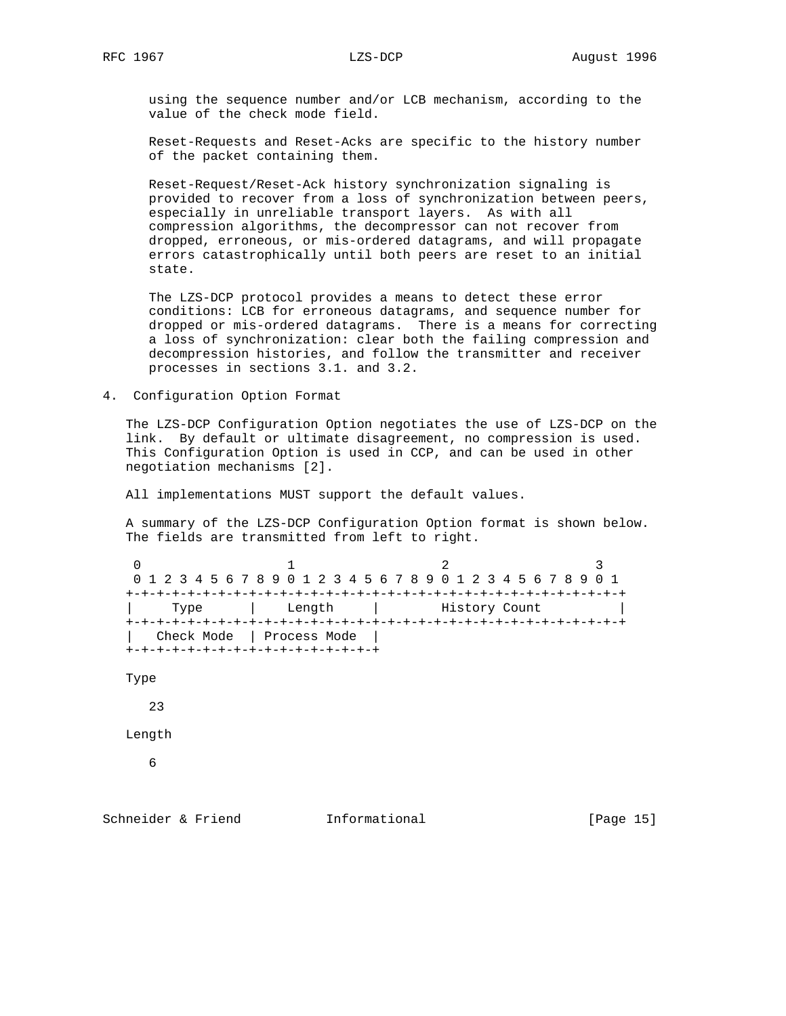using the sequence number and/or LCB mechanism, according to the value of the check mode field.

 Reset-Requests and Reset-Acks are specific to the history number of the packet containing them.

 Reset-Request/Reset-Ack history synchronization signaling is provided to recover from a loss of synchronization between peers, especially in unreliable transport layers. As with all compression algorithms, the decompressor can not recover from dropped, erroneous, or mis-ordered datagrams, and will propagate errors catastrophically until both peers are reset to an initial state.

 The LZS-DCP protocol provides a means to detect these error conditions: LCB for erroneous datagrams, and sequence number for dropped or mis-ordered datagrams. There is a means for correcting a loss of synchronization: clear both the failing compression and decompression histories, and follow the transmitter and receiver processes in sections 3.1. and 3.2.

4. Configuration Option Format

 The LZS-DCP Configuration Option negotiates the use of LZS-DCP on the link. By default or ultimate disagreement, no compression is used. This Configuration Option is used in CCP, and can be used in other negotiation mechanisms [2].

All implementations MUST support the default values.

 A summary of the LZS-DCP Configuration Option format is shown below. The fields are transmitted from left to right.

```
0 1 2 3
0 1 2 3 4 5 6 7 8 9 0 1 2 3 4 5 6 7 8 9 0 1 2 3 4 5 6 7 8 9 0 1
+-+-+-+-+-+-+-+-+-+-+-+-+-+-+-+-+-+-+-+-+-+-+-+-+-+-+-+-+-+-+-+-+
               Length | History Count
+-+-+-+-+-+-+-+-+-+-+-+-+-+-+-+-+-+-+-+-+-+-+-+-+-+-+-+-+-+-+-+-+
  | Check Mode | Process Mode |
+-+-+-+-+-+-+-+-+-+-+-+-+-+-+-+-+
```
Type

23

Length

6

Schneider & Friend **Informational** [Page 15]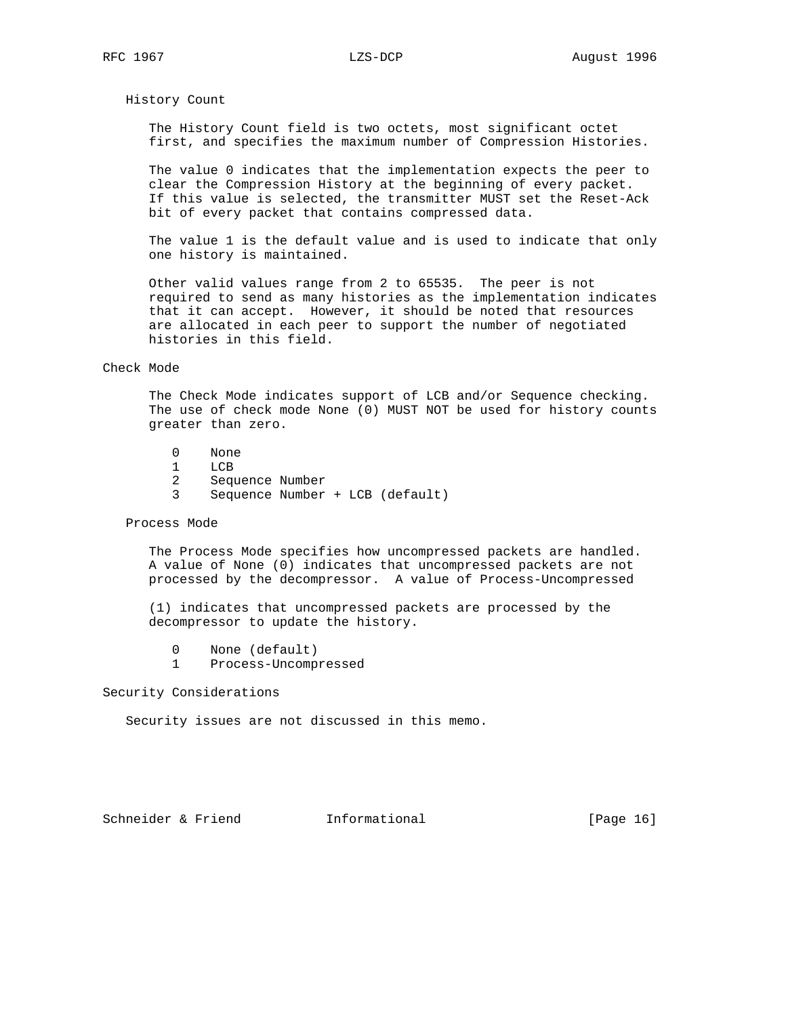### History Count

 The History Count field is two octets, most significant octet first, and specifies the maximum number of Compression Histories.

 The value 0 indicates that the implementation expects the peer to clear the Compression History at the beginning of every packet. If this value is selected, the transmitter MUST set the Reset-Ack bit of every packet that contains compressed data.

 The value 1 is the default value and is used to indicate that only one history is maintained.

 Other valid values range from 2 to 65535. The peer is not required to send as many histories as the implementation indicates that it can accept. However, it should be noted that resources are allocated in each peer to support the number of negotiated histories in this field.

## Check Mode

 The Check Mode indicates support of LCB and/or Sequence checking. The use of check mode None (0) MUST NOT be used for history counts greater than zero.

- 0 None
- 1 LCB
- 2 Sequence Number
- 3 Sequence Number + LCB (default)

### Process Mode

 The Process Mode specifies how uncompressed packets are handled. A value of None (0) indicates that uncompressed packets are not processed by the decompressor. A value of Process-Uncompressed

 (1) indicates that uncompressed packets are processed by the decompressor to update the history.

- 0 None (default)
- 1 Process-Uncompressed

Security Considerations

Security issues are not discussed in this memo.

Schneider & Friend **Informational Informational** [Page 16]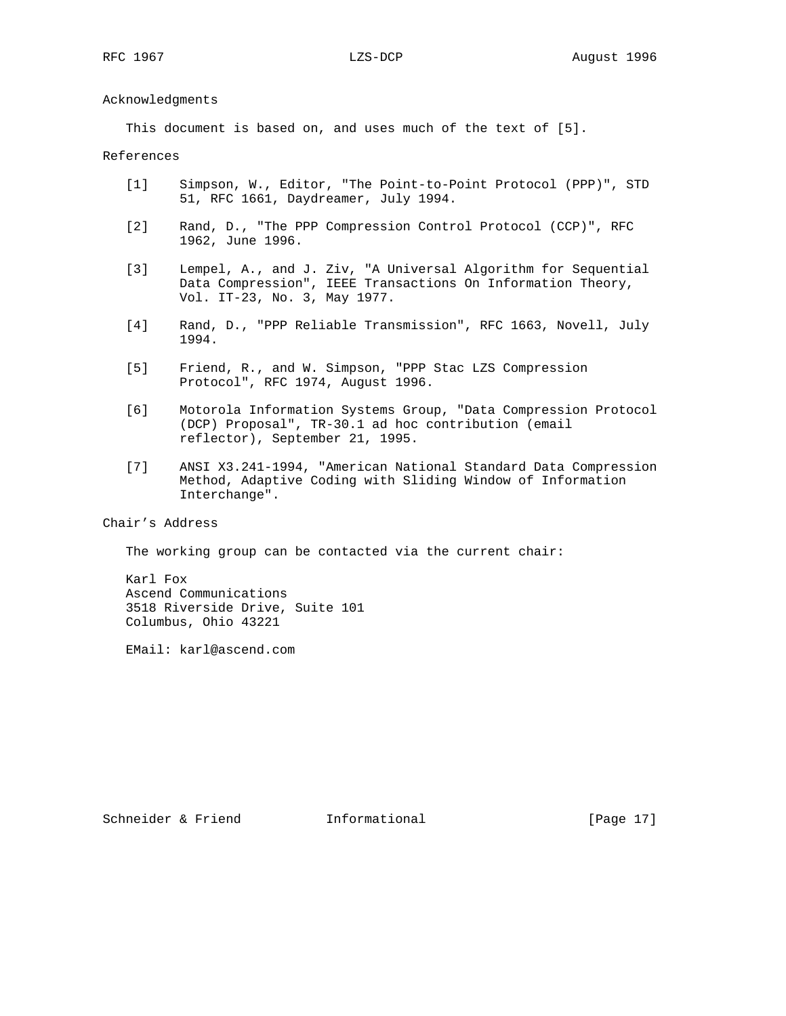Acknowledgments

This document is based on, and uses much of the text of [5].

## References

- [1] Simpson, W., Editor, "The Point-to-Point Protocol (PPP)", STD 51, RFC 1661, Daydreamer, July 1994.
- [2] Rand, D., "The PPP Compression Control Protocol (CCP)", RFC 1962, June 1996.
- [3] Lempel, A., and J. Ziv, "A Universal Algorithm for Sequential Data Compression", IEEE Transactions On Information Theory, Vol. IT-23, No. 3, May 1977.
- [4] Rand, D., "PPP Reliable Transmission", RFC 1663, Novell, July 1994.
- [5] Friend, R., and W. Simpson, "PPP Stac LZS Compression Protocol", RFC 1974, August 1996.
- [6] Motorola Information Systems Group, "Data Compression Protocol (DCP) Proposal", TR-30.1 ad hoc contribution (email reflector), September 21, 1995.
- [7] ANSI X3.241-1994, "American National Standard Data Compression Method, Adaptive Coding with Sliding Window of Information Interchange".

# Chair's Address

The working group can be contacted via the current chair:

 Karl Fox Ascend Communications 3518 Riverside Drive, Suite 101 Columbus, Ohio 43221

EMail: karl@ascend.com